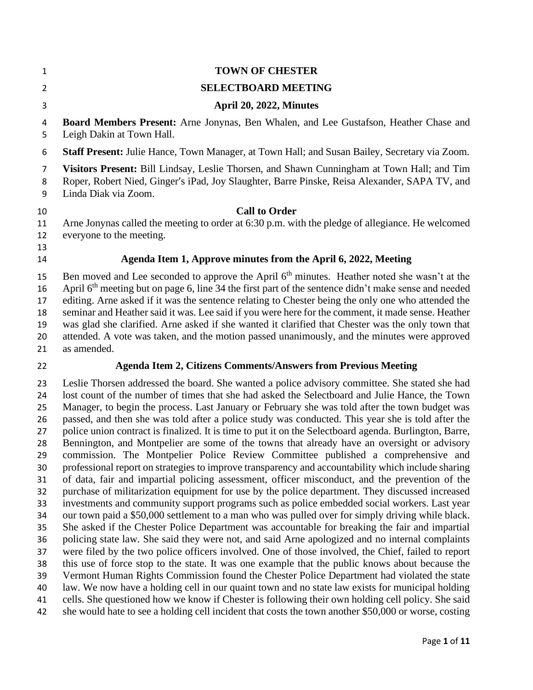| 1                                                  | <b>TOWN OF CHESTER</b>                                                                                                                                                                                                                                                                                                                                                                                                                                                                                                                                                                                                                                                                                                                                                                                                                                                                                       |
|----------------------------------------------------|--------------------------------------------------------------------------------------------------------------------------------------------------------------------------------------------------------------------------------------------------------------------------------------------------------------------------------------------------------------------------------------------------------------------------------------------------------------------------------------------------------------------------------------------------------------------------------------------------------------------------------------------------------------------------------------------------------------------------------------------------------------------------------------------------------------------------------------------------------------------------------------------------------------|
| $\overline{2}$                                     | <b>SELECTBOARD MEETING</b>                                                                                                                                                                                                                                                                                                                                                                                                                                                                                                                                                                                                                                                                                                                                                                                                                                                                                   |
| 3                                                  | April 20, 2022, Minutes                                                                                                                                                                                                                                                                                                                                                                                                                                                                                                                                                                                                                                                                                                                                                                                                                                                                                      |
| 4<br>5                                             | <b>Board Members Present:</b> Arne Jonynas, Ben Whalen, and Lee Gustafson, Heather Chase and<br>Leigh Dakin at Town Hall.                                                                                                                                                                                                                                                                                                                                                                                                                                                                                                                                                                                                                                                                                                                                                                                    |
| 6                                                  | Staff Present: Julie Hance, Town Manager, at Town Hall; and Susan Bailey, Secretary via Zoom.                                                                                                                                                                                                                                                                                                                                                                                                                                                                                                                                                                                                                                                                                                                                                                                                                |
| 7<br>8<br>9                                        | Visitors Present: Bill Lindsay, Leslie Thorsen, and Shawn Cunningham at Town Hall; and Tim<br>Roper, Robert Nied, Ginger's iPad, Joy Slaughter, Barre Pinske, Reisa Alexander, SAPA TV, and<br>Linda Diak via Zoom.                                                                                                                                                                                                                                                                                                                                                                                                                                                                                                                                                                                                                                                                                          |
| 10<br>11<br>12<br>13                               | <b>Call to Order</b><br>Arne Jonynas called the meeting to order at 6:30 p.m. with the pledge of allegiance. He welcomed<br>everyone to the meeting.                                                                                                                                                                                                                                                                                                                                                                                                                                                                                                                                                                                                                                                                                                                                                         |
| 14                                                 | Agenda Item 1, Approve minutes from the April 6, 2022, Meeting                                                                                                                                                                                                                                                                                                                                                                                                                                                                                                                                                                                                                                                                                                                                                                                                                                               |
| 15<br>16<br>17<br>18<br>19<br>20<br>21             | Ben moved and Lee seconded to approve the April 6 <sup>th</sup> minutes. Heather noted she wasn't at the<br>April 6 <sup>th</sup> meeting but on page 6, line 34 the first part of the sentence didn't make sense and needed<br>editing. Arne asked if it was the sentence relating to Chester being the only one who attended the<br>seminar and Heather said it was. Lee said if you were here for the comment, it made sense. Heather<br>was glad she clarified. Arne asked if she wanted it clarified that Chester was the only town that<br>attended. A vote was taken, and the motion passed unanimously, and the minutes were approved<br>as amended.                                                                                                                                                                                                                                                 |
| 22                                                 | <b>Agenda Item 2, Citizens Comments/Answers from Previous Meeting</b>                                                                                                                                                                                                                                                                                                                                                                                                                                                                                                                                                                                                                                                                                                                                                                                                                                        |
| 23<br>24<br>25<br>26<br>27<br>28<br>29<br>30<br>31 | Leslie Thorsen addressed the board. She wanted a police advisory committee. She stated she had<br>lost count of the number of times that she had asked the Selectboard and Julie Hance, the Town<br>Manager, to begin the process. Last January or February she was told after the town budget was<br>passed, and then she was told after a police study was conducted. This year she is told after the<br>police union contract is finalized. It is time to put it on the Selectboard agenda. Burlington, Barre,<br>Bennington, and Montpelier are some of the towns that already have an oversight or advisory<br>commission. The Montpelier Police Review Committee published a comprehensive and<br>professional report on strategies to improve transparency and accountability which include sharing<br>of data, fair and impartial policing assessment, officer misconduct, and the prevention of the |
| 32<br>33<br>34                                     | purchase of militarization equipment for use by the police department. They discussed increased<br>investments and community support programs such as police embedded social workers. Last year<br>our town paid a \$50,000 settlement to a man who was pulled over for simply driving while black.                                                                                                                                                                                                                                                                                                                                                                                                                                                                                                                                                                                                          |

 She asked if the Chester Police Department was accountable for breaking the fair and impartial policing state law. She said they were not, and said Arne apologized and no internal complaints

 were filed by the two police officers involved. One of those involved, the Chief, failed to report this use of force stop to the state. It was one example that the public knows about because the

Vermont Human Rights Commission found the Chester Police Department had violated the state

law. We now have a holding cell in our quaint town and no state law exists for municipal holding

 cells. She questioned how we know if Chester is following their own holding cell policy. She said she would hate to see a holding cell incident that costs the town another \$50,000 or worse, costing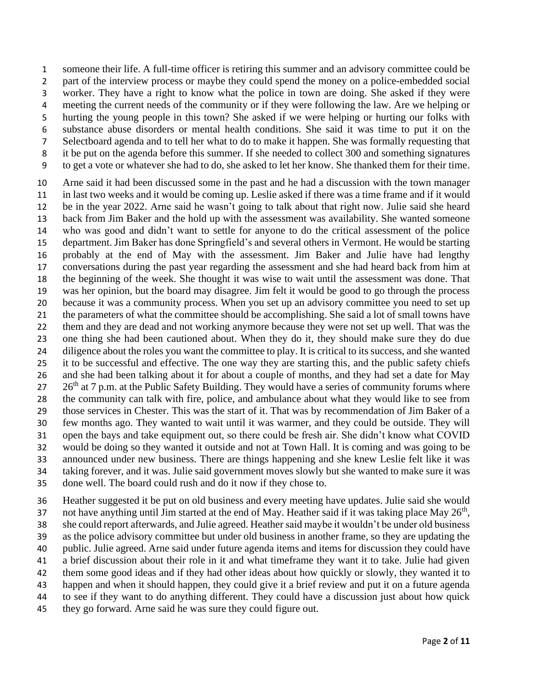someone their life. A full-time officer is retiring this summer and an advisory committee could be part of the interview process or maybe they could spend the money on a police-embedded social worker. They have a right to know what the police in town are doing. She asked if they were meeting the current needs of the community or if they were following the law. Are we helping or hurting the young people in this town? She asked if we were helping or hurting our folks with substance abuse disorders or mental health conditions. She said it was time to put it on the Selectboard agenda and to tell her what to do to make it happen. She was formally requesting that it be put on the agenda before this summer. If she needed to collect 300 and something signatures to get a vote or whatever she had to do, she asked to let her know. She thanked them for their time.

 Arne said it had been discussed some in the past and he had a discussion with the town manager in last two weeks and it would be coming up. Leslie asked if there was a time frame and if it would be in the year 2022. Arne said he wasn't going to talk about that right now. Julie said she heard back from Jim Baker and the hold up with the assessment was availability. She wanted someone who was good and didn't want to settle for anyone to do the critical assessment of the police department. Jim Baker has done Springfield's and several others in Vermont. He would be starting probably at the end of May with the assessment. Jim Baker and Julie have had lengthy conversations during the past year regarding the assessment and she had heard back from him at the beginning of the week. She thought it was wise to wait until the assessment was done. That was her opinion, but the board may disagree. Jim felt it would be good to go through the process because it was a community process. When you set up an advisory committee you need to set up the parameters of what the committee should be accomplishing. She said a lot of small towns have them and they are dead and not working anymore because they were not set up well. That was the one thing she had been cautioned about. When they do it, they should make sure they do due 24 diligence about the roles you want the committee to play. It is critical to its success, and she wanted it to be successful and effective. The one way they are starting this, and the public safety chiefs and she had been talking about it for about a couple of months, and they had set a date for May  $26<sup>th</sup>$  at 7 p.m. at the Public Safety Building. They would have a series of community forums where the community can talk with fire, police, and ambulance about what they would like to see from those services in Chester. This was the start of it. That was by recommendation of Jim Baker of a few months ago. They wanted to wait until it was warmer, and they could be outside. They will open the bays and take equipment out, so there could be fresh air. She didn't know what COVID would be doing so they wanted it outside and not at Town Hall. It is coming and was going to be announced under new business. There are things happening and she knew Leslie felt like it was taking forever, and it was. Julie said government moves slowly but she wanted to make sure it was done well. The board could rush and do it now if they chose to.

 Heather suggested it be put on old business and every meeting have updates. Julie said she would 37 not have anything until Jim started at the end of May. Heather said if it was taking place May  $26<sup>th</sup>$ , 38 she could report afterwards, and Julie agreed. Heather said maybe it wouldn't be under old business as the police advisory committee but under old business in another frame, so they are updating the public. Julie agreed. Arne said under future agenda items and items for discussion they could have a brief discussion about their role in it and what timeframe they want it to take. Julie had given them some good ideas and if they had other ideas about how quickly or slowly, they wanted it to happen and when it should happen, they could give it a brief review and put it on a future agenda to see if they want to do anything different. They could have a discussion just about how quick they go forward. Arne said he was sure they could figure out.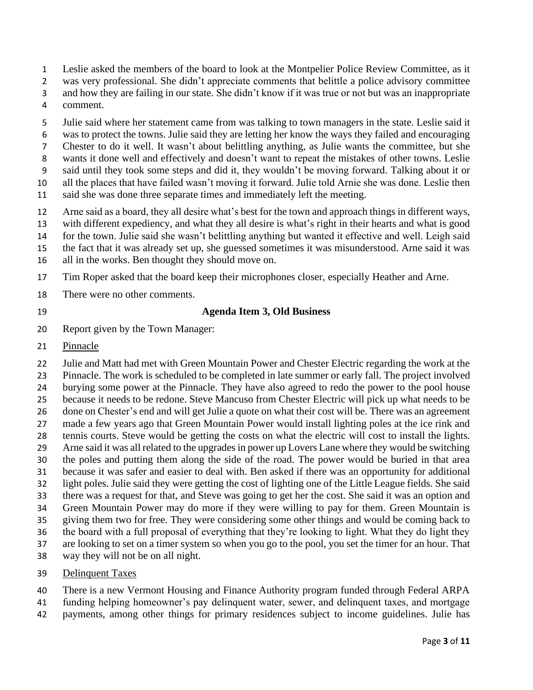- Leslie asked the members of the board to look at the Montpelier Police Review Committee, as it
- was very professional. She didn't appreciate comments that belittle a police advisory committee
- and how they are failing in our state. She didn't know if it was true or not but was an inappropriate
- comment.
- Julie said where her statement came from was talking to town managers in the state. Leslie said it
- was to protect the towns. Julie said they are letting her know the ways they failed and encouraging
- Chester to do it well. It wasn't about belittling anything, as Julie wants the committee, but she
- wants it done well and effectively and doesn't want to repeat the mistakes of other towns. Leslie
- said until they took some steps and did it, they wouldn't be moving forward. Talking about it or
- all the places that have failed wasn't moving it forward. Julie told Arnie she was done. Leslie then
- said she was done three separate times and immediately left the meeting.
- Arne said as a board, they all desire what's best for the town and approach things in different ways,
- with different expediency, and what they all desire is what's right in their hearts and what is good
- for the town. Julie said she wasn't belittling anything but wanted it effective and well. Leigh said
- the fact that it was already set up, she guessed sometimes it was misunderstood. Arne said it was
- all in the works. Ben thought they should move on.
- Tim Roper asked that the board keep their microphones closer, especially Heather and Arne.
- There were no other comments.
- 

#### **Agenda Item 3, Old Business**

- Report given by the Town Manager:
- Pinnacle

 Julie and Matt had met with Green Mountain Power and Chester Electric regarding the work at the Pinnacle. The work is scheduled to be completed in late summer or early fall. The project involved burying some power at the Pinnacle. They have also agreed to redo the power to the pool house because it needs to be redone. Steve Mancuso from Chester Electric will pick up what needs to be done on Chester's end and will get Julie a quote on what their cost will be. There was an agreement made a few years ago that Green Mountain Power would install lighting poles at the ice rink and tennis courts. Steve would be getting the costs on what the electric will cost to install the lights. Arne said it was all related to the upgrades in power up Lovers Lane where they would be switching the poles and putting them along the side of the road. The power would be buried in that area because it was safer and easier to deal with. Ben asked if there was an opportunity for additional light poles. Julie said they were getting the cost of lighting one of the Little League fields. She said there was a request for that, and Steve was going to get her the cost. She said it was an option and Green Mountain Power may do more if they were willing to pay for them. Green Mountain is giving them two for free. They were considering some other things and would be coming back to the board with a full proposal of everything that they're looking to light. What they do light they are looking to set on a timer system so when you go to the pool, you set the timer for an hour. That

- way they will not be on all night.
- Delinquent Taxes
- There is a new Vermont Housing and Finance Authority program funded through Federal ARPA
- funding helping homeowner's pay delinquent water, sewer, and delinquent taxes, and mortgage
- payments, among other things for primary residences subject to income guidelines. Julie has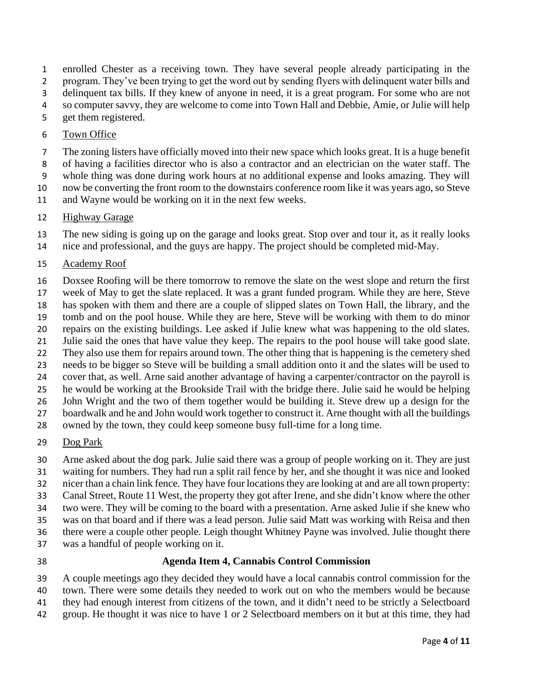enrolled Chester as a receiving town. They have several people already participating in the

program. They've been trying to get the word out by sending flyers with delinquent water bills and

 delinquent tax bills. If they knew of anyone in need, it is a great program. For some who are not so computer savvy, they are welcome to come into Town Hall and Debbie, Amie, or Julie will help

get them registered.

### Town Office

- The zoning listers have officially moved into their new space which looks great. It is a huge benefit
- of having a facilities director who is also a contractor and an electrician on the water staff. The
- whole thing was done during work hours at no additional expense and looks amazing. They will
- now be converting the front room to the downstairs conference room like it was years ago, so Steve
- and Wayne would be working on it in the next few weeks.

# Highway Garage

 The new siding is going up on the garage and looks great. Stop over and tour it, as it really looks nice and professional, and the guys are happy. The project should be completed mid-May.

### Academy Roof

Doxsee Roofing will be there tomorrow to remove the slate on the west slope and return the first

- week of May to get the slate replaced. It was a grant funded program. While they are here, Steve has spoken with them and there are a couple of slipped slates on Town Hall, the library, and the
- tomb and on the pool house. While they are here, Steve will be working with them to do minor
- repairs on the existing buildings. Lee asked if Julie knew what was happening to the old slates.
- Julie said the ones that have value they keep. The repairs to the pool house will take good slate.
- They also use them for repairs around town. The other thing that is happening is the cemetery shed
- needs to be bigger so Steve will be building a small addition onto it and the slates will be used to
- cover that, as well. Arne said another advantage of having a carpenter/contractor on the payroll is
- he would be working at the Brookside Trail with the bridge there. Julie said he would be helping
- John Wright and the two of them together would be building it. Steve drew up a design for the 27 boardwalk and he and John would work together to construct it. Arne thought with all the buildings
- owned by the town, they could keep someone busy full-time for a long time.

## Dog Park

Arne asked about the dog park. Julie said there was a group of people working on it. They are just

- waiting for numbers. They had run a split rail fence by her, and she thought it was nice and looked
- nicer than a chain link fence. They have four locations they are looking at and are all town property:
- Canal Street, Route 11 West, the property they got after Irene, and she didn't know where the other
- two were. They will be coming to the board with a presentation. Arne asked Julie if she knew who
- was on that board and if there was a lead person. Julie said Matt was working with Reisa and then
- there were a couple other people. Leigh thought Whitney Payne was involved. Julie thought there was a handful of people working on it.
- 

## **Agenda Item 4, Cannabis Control Commission**

- A couple meetings ago they decided they would have a local cannabis control commission for the
- town. There were some details they needed to work out on who the members would be because
- they had enough interest from citizens of the town, and it didn't need to be strictly a Selectboard
- group. He thought it was nice to have 1 or 2 Selectboard members on it but at this time, they had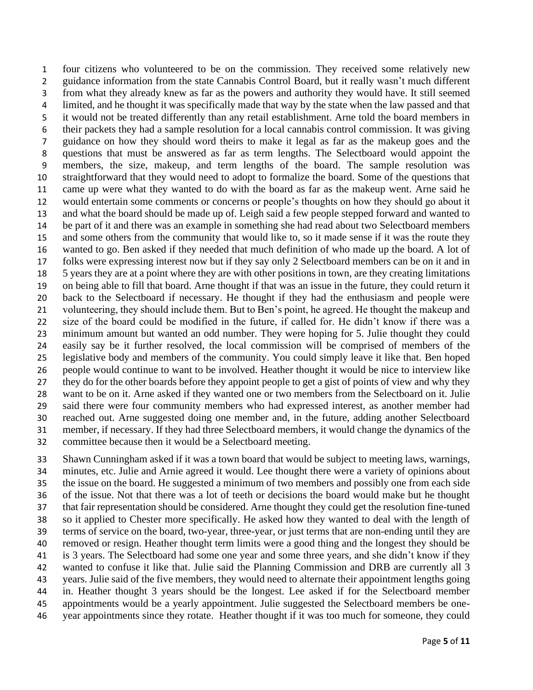four citizens who volunteered to be on the commission. They received some relatively new guidance information from the state Cannabis Control Board, but it really wasn't much different from what they already knew as far as the powers and authority they would have. It still seemed limited, and he thought it was specifically made that way by the state when the law passed and that it would not be treated differently than any retail establishment. Arne told the board members in their packets they had a sample resolution for a local cannabis control commission. It was giving guidance on how they should word theirs to make it legal as far as the makeup goes and the questions that must be answered as far as term lengths. The Selectboard would appoint the members, the size, makeup, and term lengths of the board. The sample resolution was straightforward that they would need to adopt to formalize the board. Some of the questions that came up were what they wanted to do with the board as far as the makeup went. Arne said he would entertain some comments or concerns or people's thoughts on how they should go about it and what the board should be made up of. Leigh said a few people stepped forward and wanted to be part of it and there was an example in something she had read about two Selectboard members and some others from the community that would like to, so it made sense if it was the route they wanted to go. Ben asked if they needed that much definition of who made up the board. A lot of folks were expressing interest now but if they say only 2 Selectboard members can be on it and in 5 years they are at a point where they are with other positions in town, are they creating limitations on being able to fill that board. Arne thought if that was an issue in the future, they could return it back to the Selectboard if necessary. He thought if they had the enthusiasm and people were volunteering, they should include them. But to Ben's point, he agreed. He thought the makeup and size of the board could be modified in the future, if called for. He didn't know if there was a minimum amount but wanted an odd number. They were hoping for 5. Julie thought they could easily say be it further resolved, the local commission will be comprised of members of the legislative body and members of the community. You could simply leave it like that. Ben hoped people would continue to want to be involved. Heather thought it would be nice to interview like they do for the other boards before they appoint people to get a gist of points of view and why they want to be on it. Arne asked if they wanted one or two members from the Selectboard on it. Julie said there were four community members who had expressed interest, as another member had reached out. Arne suggested doing one member and, in the future, adding another Selectboard member, if necessary. If they had three Selectboard members, it would change the dynamics of the committee because then it would be a Selectboard meeting.

 Shawn Cunningham asked if it was a town board that would be subject to meeting laws, warnings, minutes, etc. Julie and Arnie agreed it would. Lee thought there were a variety of opinions about the issue on the board. He suggested a minimum of two members and possibly one from each side of the issue. Not that there was a lot of teeth or decisions the board would make but he thought that fair representation should be considered. Arne thought they could get the resolution fine-tuned so it applied to Chester more specifically. He asked how they wanted to deal with the length of terms of service on the board, two-year, three-year, or just terms that are non-ending until they are removed or resign. Heather thought term limits were a good thing and the longest they should be is 3 years. The Selectboard had some one year and some three years, and she didn't know if they wanted to confuse it like that. Julie said the Planning Commission and DRB are currently all 3 years. Julie said of the five members, they would need to alternate their appointment lengths going in. Heather thought 3 years should be the longest. Lee asked if for the Selectboard member appointments would be a yearly appointment. Julie suggested the Selectboard members be one-year appointments since they rotate. Heather thought if it was too much for someone, they could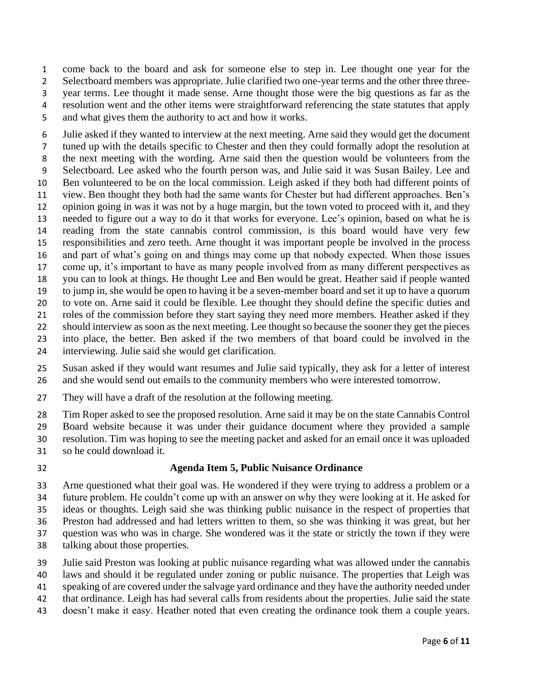come back to the board and ask for someone else to step in. Lee thought one year for the Selectboard members was appropriate. Julie clarified two one-year terms and the other three three- year terms. Lee thought it made sense. Arne thought those were the big questions as far as the resolution went and the other items were straightforward referencing the state statutes that apply and what gives them the authority to act and how it works.

 Julie asked if they wanted to interview at the next meeting. Arne said they would get the document tuned up with the details specific to Chester and then they could formally adopt the resolution at the next meeting with the wording. Arne said then the question would be volunteers from the Selectboard. Lee asked who the fourth person was, and Julie said it was Susan Bailey. Lee and Ben volunteered to be on the local commission. Leigh asked if they both had different points of view. Ben thought they both had the same wants for Chester but had different approaches. Ben's opinion going in was it was not by a huge margin, but the town voted to proceed with it, and they needed to figure out a way to do it that works for everyone. Lee's opinion, based on what he is reading from the state cannabis control commission, is this board would have very few responsibilities and zero teeth. Arne thought it was important people be involved in the process and part of what's going on and things may come up that nobody expected. When those issues come up, it's important to have as many people involved from as many different perspectives as you can to look at things. He thought Lee and Ben would be great. Heather said if people wanted to jump in, she would be open to having it be a seven-member board and set it up to have a quorum to vote on. Arne said it could be flexible. Lee thought they should define the specific duties and roles of the commission before they start saying they need more members. Heather asked if they should interview as soon as the next meeting. Lee thought so because the sooner they get the pieces into place, the better. Ben asked if the two members of that board could be involved in the

- interviewing. Julie said she would get clarification.
- Susan asked if they would want resumes and Julie said typically, they ask for a letter of interest and she would send out emails to the community members who were interested tomorrow.
- They will have a draft of the resolution at the following meeting.

Tim Roper asked to see the proposed resolution. Arne said it may be on the state Cannabis Control

- Board website because it was under their guidance document where they provided a sample
- resolution. Tim was hoping to see the meeting packet and asked for an email once it was uploaded
- so he could download it.
- 

#### **Agenda Item 5, Public Nuisance Ordinance**

 Arne questioned what their goal was. He wondered if they were trying to address a problem or a future problem. He couldn't come up with an answer on why they were looking at it. He asked for ideas or thoughts. Leigh said she was thinking public nuisance in the respect of properties that Preston had addressed and had letters written to them, so she was thinking it was great, but her question was who was in charge. She wondered was it the state or strictly the town if they were

- talking about those properties.
- Julie said Preston was looking at public nuisance regarding what was allowed under the cannabis
- laws and should it be regulated under zoning or public nuisance. The properties that Leigh was
- speaking of are covered under the salvage yard ordinance and they have the authority needed under
- that ordinance. Leigh has had several calls from residents about the properties. Julie said the state
- doesn't make it easy. Heather noted that even creating the ordinance took them a couple years.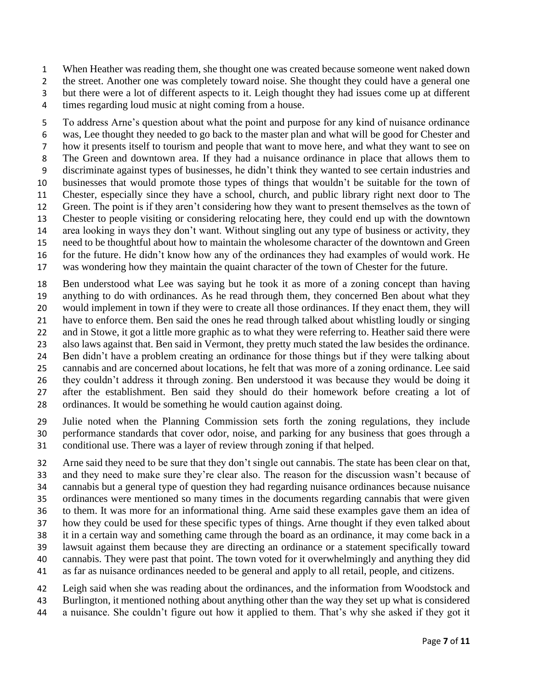When Heather was reading them, she thought one was created because someone went naked down

2 the street. Another one was completely toward noise. She thought they could have a general one

but there were a lot of different aspects to it. Leigh thought they had issues come up at different

times regarding loud music at night coming from a house.

 To address Arne's question about what the point and purpose for any kind of nuisance ordinance was, Lee thought they needed to go back to the master plan and what will be good for Chester and how it presents itself to tourism and people that want to move here, and what they want to see on The Green and downtown area. If they had a nuisance ordinance in place that allows them to discriminate against types of businesses, he didn't think they wanted to see certain industries and businesses that would promote those types of things that wouldn't be suitable for the town of Chester, especially since they have a school, church, and public library right next door to The Green. The point is if they aren't considering how they want to present themselves as the town of Chester to people visiting or considering relocating here, they could end up with the downtown area looking in ways they don't want. Without singling out any type of business or activity, they need to be thoughtful about how to maintain the wholesome character of the downtown and Green for the future. He didn't know how any of the ordinances they had examples of would work. He was wondering how they maintain the quaint character of the town of Chester for the future.

 Ben understood what Lee was saying but he took it as more of a zoning concept than having anything to do with ordinances. As he read through them, they concerned Ben about what they would implement in town if they were to create all those ordinances. If they enact them, they will have to enforce them. Ben said the ones he read through talked about whistling loudly or singing and in Stowe, it got a little more graphic as to what they were referring to. Heather said there were also laws against that. Ben said in Vermont, they pretty much stated the law besides the ordinance. Ben didn't have a problem creating an ordinance for those things but if they were talking about cannabis and are concerned about locations, he felt that was more of a zoning ordinance. Lee said they couldn't address it through zoning. Ben understood it was because they would be doing it after the establishment. Ben said they should do their homework before creating a lot of ordinances. It would be something he would caution against doing.

 Julie noted when the Planning Commission sets forth the zoning regulations, they include performance standards that cover odor, noise, and parking for any business that goes through a conditional use. There was a layer of review through zoning if that helped.

 Arne said they need to be sure that they don't single out cannabis. The state has been clear on that, and they need to make sure they're clear also. The reason for the discussion wasn't because of cannabis but a general type of question they had regarding nuisance ordinances because nuisance ordinances were mentioned so many times in the documents regarding cannabis that were given to them. It was more for an informational thing. Arne said these examples gave them an idea of how they could be used for these specific types of things. Arne thought if they even talked about it in a certain way and something came through the board as an ordinance, it may come back in a lawsuit against them because they are directing an ordinance or a statement specifically toward cannabis. They were past that point. The town voted for it overwhelmingly and anything they did as far as nuisance ordinances needed to be general and apply to all retail, people, and citizens.

Leigh said when she was reading about the ordinances, and the information from Woodstock and

- Burlington, it mentioned nothing about anything other than the way they set up what is considered
- a nuisance. She couldn't figure out how it applied to them. That's why she asked if they got it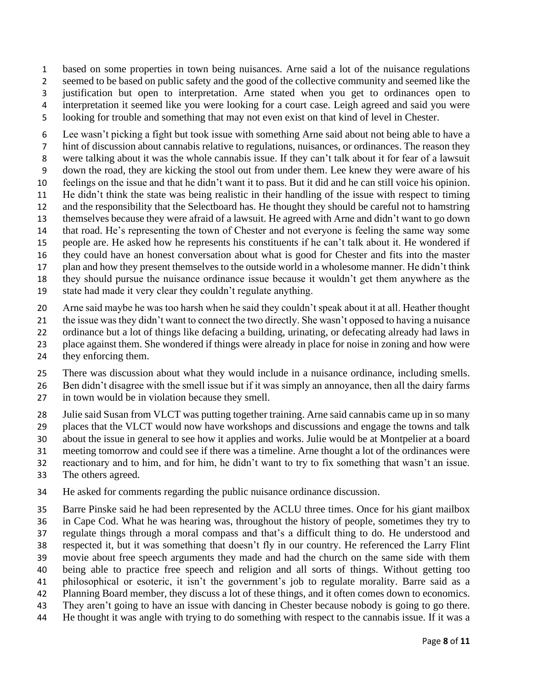based on some properties in town being nuisances. Arne said a lot of the nuisance regulations seemed to be based on public safety and the good of the collective community and seemed like the justification but open to interpretation. Arne stated when you get to ordinances open to interpretation it seemed like you were looking for a court case. Leigh agreed and said you were looking for trouble and something that may not even exist on that kind of level in Chester.

 Lee wasn't picking a fight but took issue with something Arne said about not being able to have a hint of discussion about cannabis relative to regulations, nuisances, or ordinances. The reason they were talking about it was the whole cannabis issue. If they can't talk about it for fear of a lawsuit down the road, they are kicking the stool out from under them. Lee knew they were aware of his feelings on the issue and that he didn't want it to pass. But it did and he can still voice his opinion. He didn't think the state was being realistic in their handling of the issue with respect to timing and the responsibility that the Selectboard has. He thought they should be careful not to hamstring themselves because they were afraid of a lawsuit. He agreed with Arne and didn't want to go down that road. He's representing the town of Chester and not everyone is feeling the same way some people are. He asked how he represents his constituents if he can't talk about it. He wondered if they could have an honest conversation about what is good for Chester and fits into the master plan and how they present themselves to the outside world in a wholesome manner. He didn't think they should pursue the nuisance ordinance issue because it wouldn't get them anywhere as the

- state had made it very clear they couldn't regulate anything.
- Arne said maybe he was too harsh when he said they couldn't speak about it at all. Heather thought
- the issue was they didn't want to connect the two directly. She wasn't opposed to having a nuisance
- ordinance but a lot of things like defacing a building, urinating, or defecating already had laws in
- place against them. She wondered if things were already in place for noise in zoning and how were
- they enforcing them.
- There was discussion about what they would include in a nuisance ordinance, including smells.
- Ben didn't disagree with the smell issue but if it was simply an annoyance, then all the dairy farms in town would be in violation because they smell.
- Julie said Susan from VLCT was putting together training. Arne said cannabis came up in so many
- places that the VLCT would now have workshops and discussions and engage the towns and talk
- about the issue in general to see how it applies and works. Julie would be at Montpelier at a board
- meeting tomorrow and could see if there was a timeline. Arne thought a lot of the ordinances were
- reactionary and to him, and for him, he didn't want to try to fix something that wasn't an issue.
- The others agreed.
- He asked for comments regarding the public nuisance ordinance discussion.
- Barre Pinske said he had been represented by the ACLU three times. Once for his giant mailbox
- in Cape Cod. What he was hearing was, throughout the history of people, sometimes they try to
- regulate things through a moral compass and that's a difficult thing to do. He understood and
- respected it, but it was something that doesn't fly in our country. He referenced the Larry Flint
- movie about free speech arguments they made and had the church on the same side with them being able to practice free speech and religion and all sorts of things. Without getting too
- philosophical or esoteric, it isn't the government's job to regulate morality. Barre said as a
- Planning Board member, they discuss a lot of these things, and it often comes down to economics.
- They aren't going to have an issue with dancing in Chester because nobody is going to go there.
- He thought it was angle with trying to do something with respect to the cannabis issue. If it was a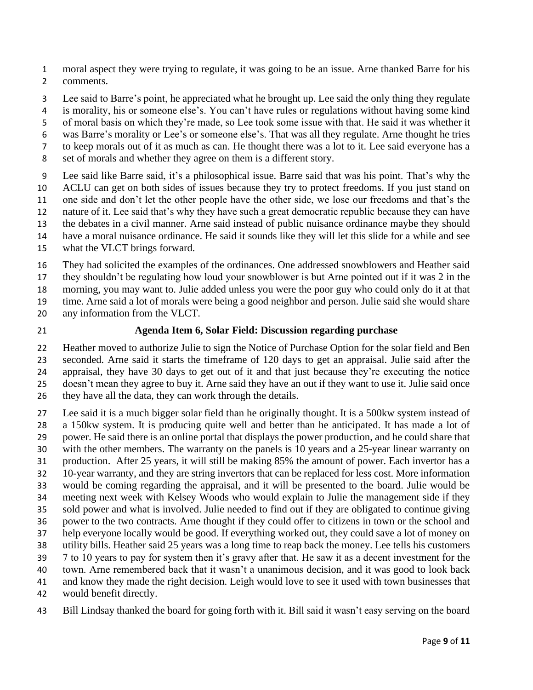moral aspect they were trying to regulate, it was going to be an issue. Arne thanked Barre for his comments.

- Lee said to Barre's point, he appreciated what he brought up. Lee said the only thing they regulate
- is morality, his or someone else's. You can't have rules or regulations without having some kind
- of moral basis on which they're made, so Lee took some issue with that. He said it was whether it
- was Barre's morality or Lee's or someone else's. That was all they regulate. Arne thought he tries
- to keep morals out of it as much as can. He thought there was a lot to it. Lee said everyone has a
- set of morals and whether they agree on them is a different story.
- Lee said like Barre said, it's a philosophical issue. Barre said that was his point. That's why the ACLU can get on both sides of issues because they try to protect freedoms. If you just stand on one side and don't let the other people have the other side, we lose our freedoms and that's the nature of it. Lee said that's why they have such a great democratic republic because they can have
- the debates in a civil manner. Arne said instead of public nuisance ordinance maybe they should
- have a moral nuisance ordinance. He said it sounds like they will let this slide for a while and see
- what the VLCT brings forward.
- They had solicited the examples of the ordinances. One addressed snowblowers and Heather said
- they shouldn't be regulating how loud your snowblower is but Arne pointed out if it was 2 in the
- morning, you may want to. Julie added unless you were the poor guy who could only do it at that
- time. Arne said a lot of morals were being a good neighbor and person. Julie said she would share
- any information from the VLCT.
- 

### **Agenda Item 6, Solar Field: Discussion regarding purchase**

 Heather moved to authorize Julie to sign the Notice of Purchase Option for the solar field and Ben seconded. Arne said it starts the timeframe of 120 days to get an appraisal. Julie said after the appraisal, they have 30 days to get out of it and that just because they're executing the notice doesn't mean they agree to buy it. Arne said they have an out if they want to use it. Julie said once they have all the data, they can work through the details.

- Lee said it is a much bigger solar field than he originally thought. It is a 500kw system instead of a 150kw system. It is producing quite well and better than he anticipated. It has made a lot of power. He said there is an online portal that displays the power production, and he could share that with the other members. The warranty on the panels is 10 years and a 25-year linear warranty on production. After 25 years, it will still be making 85% the amount of power. Each invertor has a 10-year warranty, and they are string invertors that can be replaced for less cost. More information would be coming regarding the appraisal, and it will be presented to the board. Julie would be meeting next week with Kelsey Woods who would explain to Julie the management side if they sold power and what is involved. Julie needed to find out if they are obligated to continue giving power to the two contracts. Arne thought if they could offer to citizens in town or the school and help everyone locally would be good. If everything worked out, they could save a lot of money on utility bills. Heather said 25 years was a long time to reap back the money. Lee tells his customers 7 to 10 years to pay for system then it's gravy after that. He saw it as a decent investment for the town. Arne remembered back that it wasn't a unanimous decision, and it was good to look back and know they made the right decision. Leigh would love to see it used with town businesses that would benefit directly.
- Bill Lindsay thanked the board for going forth with it. Bill said it wasn't easy serving on the board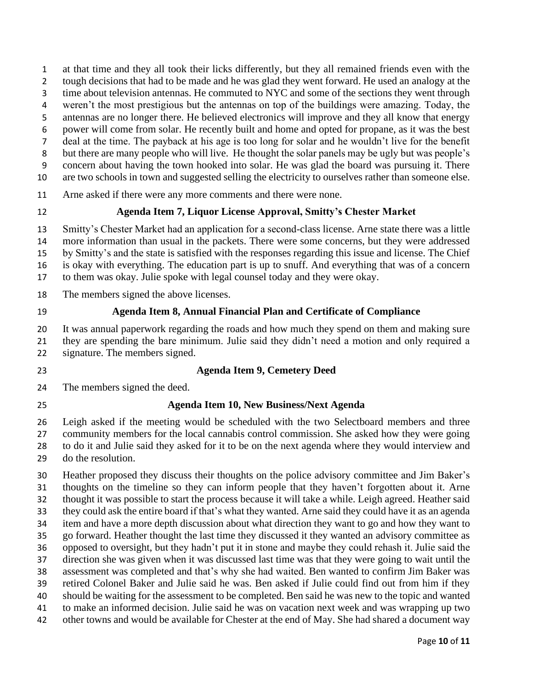- at that time and they all took their licks differently, but they all remained friends even with the
- tough decisions that had to be made and he was glad they went forward. He used an analogy at the
- 3 time about television antennas. He commuted to NYC and some of the sections they went through
- weren't the most prestigious but the antennas on top of the buildings were amazing. Today, the
- antennas are no longer there. He believed electronics will improve and they all know that energy
- power will come from solar. He recently built and home and opted for propane, as it was the best
- deal at the time. The payback at his age is too long for solar and he wouldn't live for the benefit but there are many people who will live. He thought the solar panels may be ugly but was people's
- concern about having the town hooked into solar. He was glad the board was pursuing it. There
- are two schools in town and suggested selling the electricity to ourselves rather than someone else.
- Arne asked if there were any more comments and there were none.
- 

## **Agenda Item 7, Liquor License Approval, Smitty's Chester Market**

Smitty's Chester Market had an application for a second-class license. Arne state there was a little

- more information than usual in the packets. There were some concerns, but they were addressed
- by Smitty's and the state is satisfied with the responses regarding this issue and license. The Chief
- is okay with everything. The education part is up to snuff. And everything that was of a concern
- to them was okay. Julie spoke with legal counsel today and they were okay.
- The members signed the above licenses.
- 

### **Agenda Item 8, Annual Financial Plan and Certificate of Compliance**

It was annual paperwork regarding the roads and how much they spend on them and making sure

 they are spending the bare minimum. Julie said they didn't need a motion and only required a signature. The members signed.

### **Agenda Item 9, Cemetery Deed**

- The members signed the deed.
- 

## **Agenda Item 10, New Business/Next Agenda**

 Leigh asked if the meeting would be scheduled with the two Selectboard members and three community members for the local cannabis control commission. She asked how they were going to do it and Julie said they asked for it to be on the next agenda where they would interview and do the resolution.

 Heather proposed they discuss their thoughts on the police advisory committee and Jim Baker's thoughts on the timeline so they can inform people that they haven't forgotten about it. Arne thought it was possible to start the process because it will take a while. Leigh agreed. Heather said they could ask the entire board if that's what they wanted. Arne said they could have it as an agenda item and have a more depth discussion about what direction they want to go and how they want to go forward. Heather thought the last time they discussed it they wanted an advisory committee as opposed to oversight, but they hadn't put it in stone and maybe they could rehash it. Julie said the direction she was given when it was discussed last time was that they were going to wait until the assessment was completed and that's why she had waited. Ben wanted to confirm Jim Baker was retired Colonel Baker and Julie said he was. Ben asked if Julie could find out from him if they should be waiting for the assessment to be completed. Ben said he was new to the topic and wanted to make an informed decision. Julie said he was on vacation next week and was wrapping up two other towns and would be available for Chester at the end of May. She had shared a document way